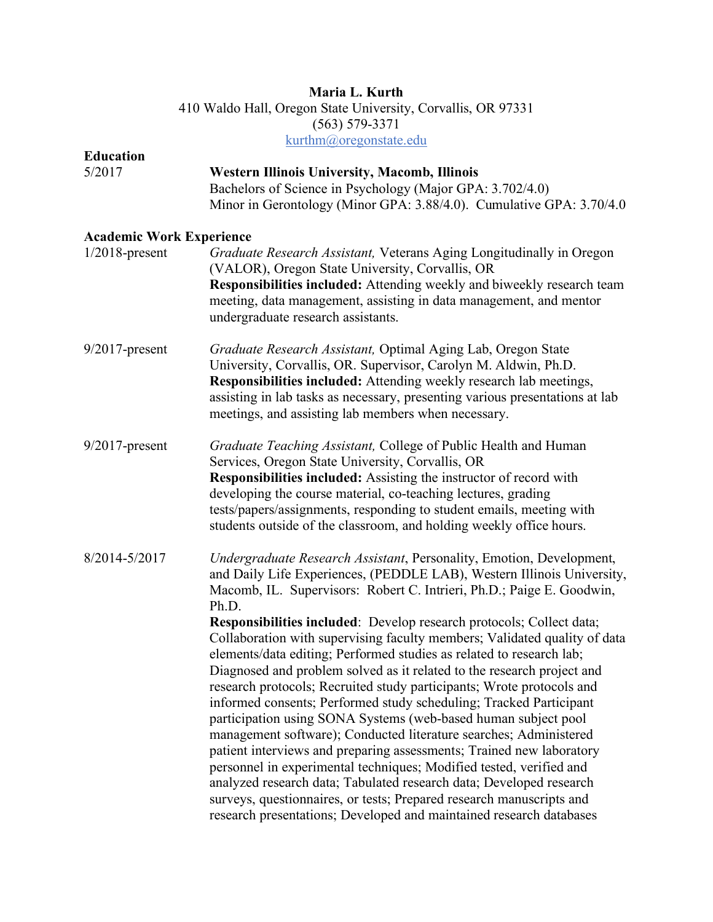# **Maria L. Kurth**  410 Waldo Hall, Oregon State University, Corvallis, OR 97331 (563) 579-3371 kurthm@oregonstate.edu

| <b>Education</b>                |                                                                                                                                                                                                                                                                                                                                                                                                                                                                                                                                                                                                                                                                                                                                                                                                                               |
|---------------------------------|-------------------------------------------------------------------------------------------------------------------------------------------------------------------------------------------------------------------------------------------------------------------------------------------------------------------------------------------------------------------------------------------------------------------------------------------------------------------------------------------------------------------------------------------------------------------------------------------------------------------------------------------------------------------------------------------------------------------------------------------------------------------------------------------------------------------------------|
| 5/2017                          | <b>Western Illinois University, Macomb, Illinois</b><br>Bachelors of Science in Psychology (Major GPA: 3.702/4.0)<br>Minor in Gerontology (Minor GPA: 3.88/4.0). Cumulative GPA: 3.70/4.0                                                                                                                                                                                                                                                                                                                                                                                                                                                                                                                                                                                                                                     |
| <b>Academic Work Experience</b> |                                                                                                                                                                                                                                                                                                                                                                                                                                                                                                                                                                                                                                                                                                                                                                                                                               |
| $1/2018$ -present               | Graduate Research Assistant, Veterans Aging Longitudinally in Oregon<br>(VALOR), Oregon State University, Corvallis, OR<br>Responsibilities included: Attending weekly and biweekly research team<br>meeting, data management, assisting in data management, and mentor<br>undergraduate research assistants.                                                                                                                                                                                                                                                                                                                                                                                                                                                                                                                 |
| $9/2017$ -present               | Graduate Research Assistant, Optimal Aging Lab, Oregon State<br>University, Corvallis, OR. Supervisor, Carolyn M. Aldwin, Ph.D.<br>Responsibilities included: Attending weekly research lab meetings,<br>assisting in lab tasks as necessary, presenting various presentations at lab<br>meetings, and assisting lab members when necessary.                                                                                                                                                                                                                                                                                                                                                                                                                                                                                  |
| $9/2017$ -present               | Graduate Teaching Assistant, College of Public Health and Human<br>Services, Oregon State University, Corvallis, OR<br><b>Responsibilities included:</b> Assisting the instructor of record with<br>developing the course material, co-teaching lectures, grading<br>tests/papers/assignments, responding to student emails, meeting with<br>students outside of the classroom, and holding weekly office hours.                                                                                                                                                                                                                                                                                                                                                                                                              |
| 8/2014-5/2017                   | Undergraduate Research Assistant, Personality, Emotion, Development,<br>and Daily Life Experiences, (PEDDLE LAB), Western Illinois University,<br>Macomb, IL. Supervisors: Robert C. Intrieri, Ph.D.; Paige E. Goodwin,<br>Ph.D.<br>Responsibilities included: Develop research protocols; Collect data;<br>Collaboration with supervising faculty members; Validated quality of data<br>elements/data editing; Performed studies as related to research lab;<br>Diagnosed and problem solved as it related to the research project and<br>research protocols; Recruited study participants; Wrote protocols and<br>informed consents; Performed study scheduling; Tracked Participant<br>participation using SONA Systems (web-based human subject pool<br>management software); Conducted literature searches; Administered |
|                                 | patient interviews and preparing assessments; Trained new laboratory<br>personnel in experimental techniques; Modified tested, verified and<br>analyzed research data; Tabulated research data; Developed research<br>surveys, questionnaires, or tests; Prepared research manuscripts and<br>research presentations; Developed and maintained research databases                                                                                                                                                                                                                                                                                                                                                                                                                                                             |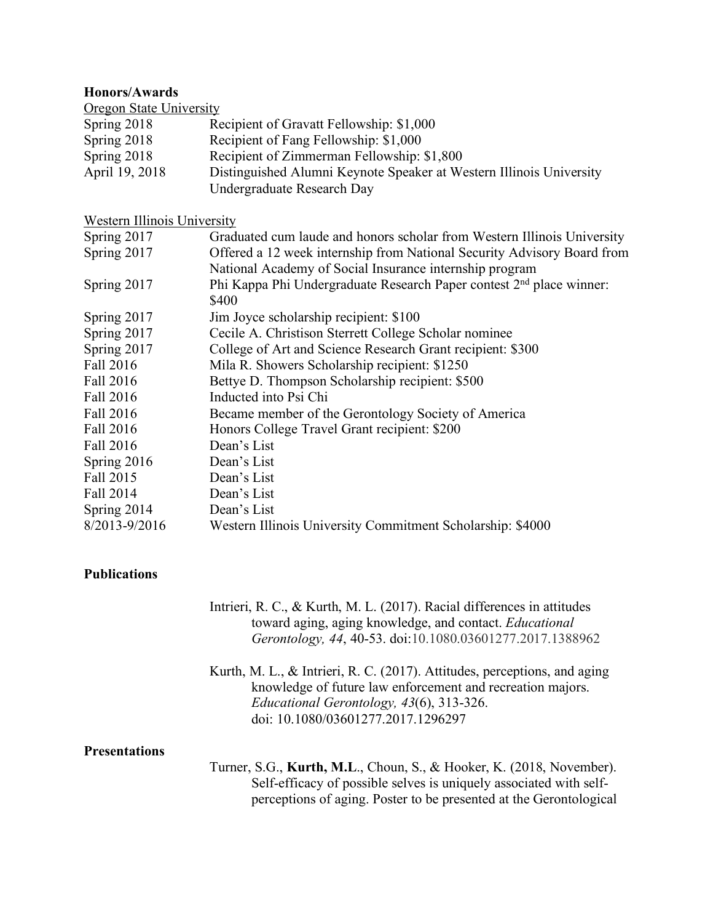### **Honors/Awards**

**Oregon State University** Spring 2018 Recipient of Gravatt Fellowship: \$1,000 Spring 2018 Recipient of Fang Fellowship: \$1,000 Spring 2018 Recipient of Zimmerman Fellowship: \$1,800 April 19, 2018 Distinguished Alumni Keynote Speaker at Western Illinois University Undergraduate Research Day

### Western Illinois University

| Graduated cum laude and honors scholar from Western Illinois University          |
|----------------------------------------------------------------------------------|
| Offered a 12 week internship from National Security Advisory Board from          |
| National Academy of Social Insurance internship program                          |
| Phi Kappa Phi Undergraduate Research Paper contest 2 <sup>nd</sup> place winner: |
| \$400                                                                            |
| Jim Joyce scholarship recipient: \$100                                           |
| Cecile A. Christison Sterrett College Scholar nominee                            |
| College of Art and Science Research Grant recipient: \$300                       |
| Mila R. Showers Scholarship recipient: \$1250                                    |
| Bettye D. Thompson Scholarship recipient: \$500                                  |
| Inducted into Psi Chi                                                            |
| Became member of the Gerontology Society of America                              |
| Honors College Travel Grant recipient: \$200                                     |
| Dean's List                                                                      |
| Dean's List                                                                      |
| Dean's List                                                                      |
| Dean's List                                                                      |
| Dean's List                                                                      |
| Western Illinois University Commitment Scholarship: \$4000                       |
|                                                                                  |

# **Publications**

| Intrieri, R. C., & Kurth, M. L. (2017). Racial differences in attitudes |
|-------------------------------------------------------------------------|
| toward aging, aging knowledge, and contact. Educational                 |
| Gerontology, 44, 40-53. doi:10.1080.03601277.2017.1388962               |

Kurth, M. L., & Intrieri, R. C. (2017). Attitudes, perceptions, and aging knowledge of future law enforcement and recreation majors. *Educational Gerontology, 43*(6), 313-326. doi: 10.1080/03601277.2017.1296297

# **Presentations**

Turner, S.G., **Kurth, M.L**., Choun, S., & Hooker, K. (2018, November). Self-efficacy of possible selves is uniquely associated with selfperceptions of aging. Poster to be presented at the Gerontological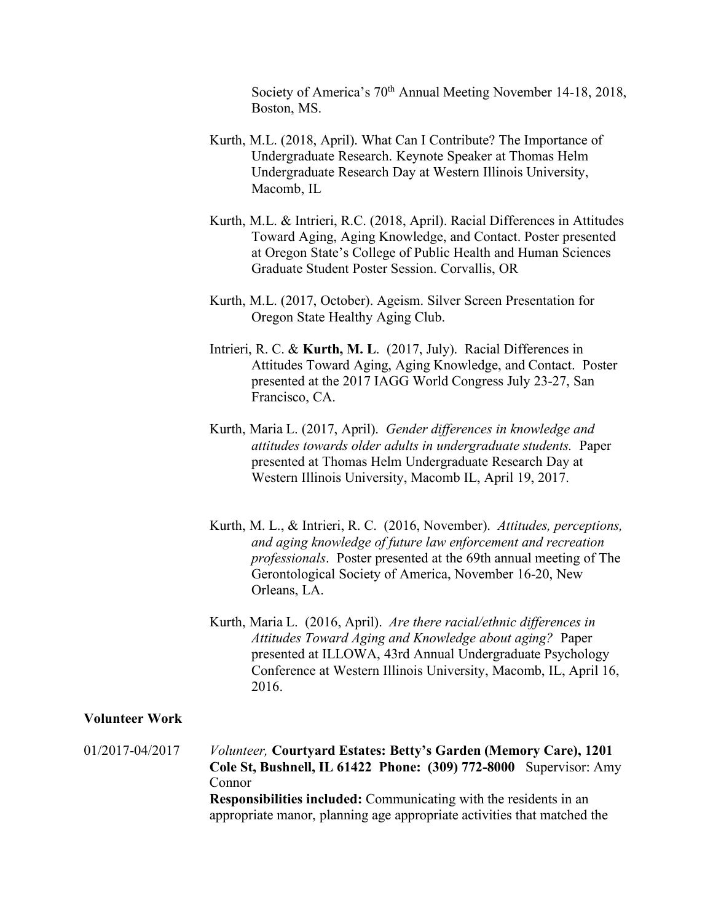Society of America's 70th Annual Meeting November 14-18, 2018, Boston, MS.

- Kurth, M.L. (2018, April). What Can I Contribute? The Importance of Undergraduate Research. Keynote Speaker at Thomas Helm Undergraduate Research Day at Western Illinois University, Macomb, IL
- Kurth, M.L. & Intrieri, R.C. (2018, April). Racial Differences in Attitudes Toward Aging, Aging Knowledge, and Contact. Poster presented at Oregon State's College of Public Health and Human Sciences Graduate Student Poster Session. Corvallis, OR
- Kurth, M.L. (2017, October). Ageism. Silver Screen Presentation for Oregon State Healthy Aging Club.
- Intrieri, R. C. & **Kurth, M. L**. (2017, July). Racial Differences in Attitudes Toward Aging, Aging Knowledge, and Contact. Poster presented at the 2017 IAGG World Congress July 23-27, San Francisco, CA.
- Kurth, Maria L. (2017, April). *Gender differences in knowledge and attitudes towards older adults in undergraduate students.* Paper presented at Thomas Helm Undergraduate Research Day at Western Illinois University, Macomb IL, April 19, 2017.
- Kurth, M. L., & Intrieri, R. C. (2016, November). *Attitudes, perceptions, and aging knowledge of future law enforcement and recreation professionals*. Poster presented at the 69th annual meeting of The Gerontological Society of America, November 16-20, New Orleans, LA.
- Kurth, Maria L. (2016, April).*Are there racial/ethnic differences in Attitudes Toward Aging and Knowledge about aging?*Paper presented at ILLOWA, 43rd Annual Undergraduate Psychology Conference at Western Illinois University, Macomb, IL, April 16, 2016.

# **Volunteer Work**

01/2017-04/2017 *Volunteer,* **Courtyard Estates: Betty's Garden (Memory Care), 1201 Cole St, Bushnell, IL 61422 Phone: (309) 772-8000** Supervisor: Amy Connor **Responsibilities included:** Communicating with the residents in an appropriate manor, planning age appropriate activities that matched the